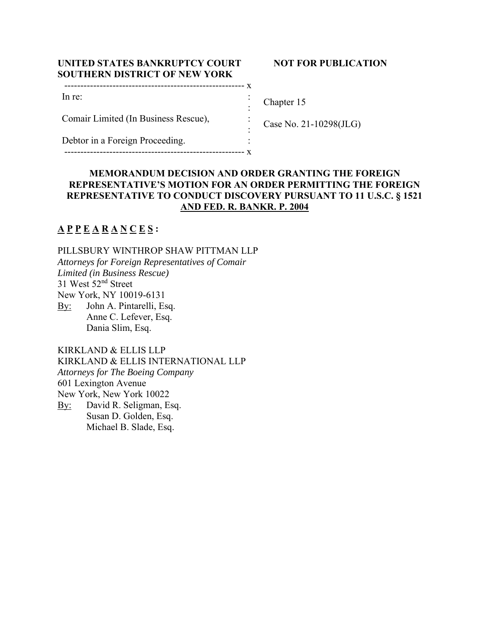# **UNITED STATES BANKRUPTCY COURT SOUTHERN DISTRICT OF NEW YORK**

|  | NOT FOR PUBLICATION |
|--|---------------------|
|--|---------------------|

| In re:                               |  |
|--------------------------------------|--|
|                                      |  |
| Comair Limited (In Business Rescue), |  |
|                                      |  |
| Debtor in a Foreign Proceeding.      |  |
|                                      |  |

Chapter 15

Case No. 21-10298(JLG)

# **MEMORANDUM DECISION AND ORDER GRANTING THE FOREIGN REPRESENTATIVE'S MOTION FOR AN ORDER PERMITTING THE FOREIGN REPRESENTATIVE TO CONDUCT DISCOVERY PURSUANT TO 11 U.S.C. § 1521 AND FED. R. BANKR. P. 2004**

# **A P P E A R A N C E S :**

PILLSBURY WINTHROP SHAW PITTMAN LLP *Attorneys for Foreign Representatives of Comair Limited (in Business Rescue)*  31 West 52nd Street New York, NY 10019-6131 By: John A. Pintarelli, Esq. Anne C. Lefever, Esq. Dania Slim, Esq.

KIRKLAND & ELLIS LLP KIRKLAND & ELLIS INTERNATIONAL LLP *Attorneys for The Boeing Company*  601 Lexington Avenue New York, New York 10022 By: David R. Seligman, Esq. Susan D. Golden, Esq. Michael B. Slade, Esq.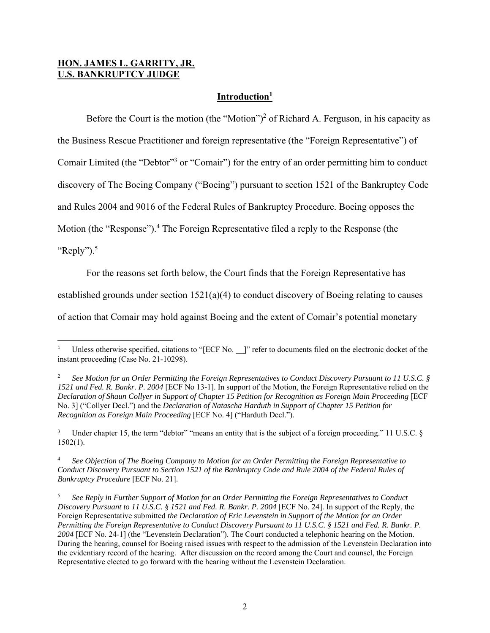### **HON. JAMES L. GARRITY, JR. U.S. BANKRUPTCY JUDGE**

# **Introduction1**

Before the Court is the motion (the "Motion")<sup>2</sup> of Richard A. Ferguson, in his capacity as

the Business Rescue Practitioner and foreign representative (the "Foreign Representative") of

Comair Limited (the "Debtor"<sup>3</sup> or "Comair") for the entry of an order permitting him to conduct

discovery of The Boeing Company ("Boeing") pursuant to section 1521 of the Bankruptcy Code

and Rules 2004 and 9016 of the Federal Rules of Bankruptcy Procedure. Boeing opposes the

Motion (the "Response").<sup>4</sup> The Foreign Representative filed a reply to the Response (the

"Reply"). $5$ 

For the reasons set forth below, the Court finds that the Foreign Representative has

established grounds under section  $1521(a)(4)$  to conduct discovery of Boeing relating to causes

of action that Comair may hold against Boeing and the extent of Comair's potential monetary

<sup>1</sup> Unless otherwise specified, citations to "[ECF No. ]" refer to documents filed on the electronic docket of the instant proceeding (Case No. 21-10298).

<sup>2</sup> *See Motion for an Order Permitting the Foreign Representatives to Conduct Discovery Pursuant to 11 U.S.C. § 1521 and Fed. R. Bankr. P. 2004* [ECF No 13-1]. In support of the Motion, the Foreign Representative relied on the *Declaration of Shaun Collyer in Support of Chapter 15 Petition for Recognition as Foreign Main Proceeding* [ECF No. 3] ("Collyer Decl.") and the *Declaration of Natascha Harduth in Support of Chapter 15 Petition for Recognition as Foreign Main Proceeding* [ECF No. 4] ("Harduth Decl.").

<sup>3</sup> Under chapter 15, the term "debtor" "means an entity that is the subject of a foreign proceeding." 11 U.S.C. §  $1502(1)$ .

<sup>4</sup> *See Objection of The Boeing Company to Motion for an Order Permitting the Foreign Representative to Conduct Discovery Pursuant to Section 1521 of the Bankruptcy Code and Rule 2004 of the Federal Rules of Bankruptcy Procedure* [ECF No. 21].

<sup>5</sup> *See Reply in Further Support of Motion for an Order Permitting the Foreign Representatives to Conduct Discovery Pursuant to 11 U.S.C. § 1521 and Fed. R. Bankr. P. 2004* [ECF No. 24]. In support of the Reply, the Foreign Representative submitted *the Declaration of Eric Levenstein in Support of the Motion for an Order Permitting the Foreign Representative to Conduct Discovery Pursuant to 11 U.S.C. § 1521 and Fed. R. Bankr. P. 2004* [ECF No. 24-1] (the "Levenstein Declaration"). The Court conducted a telephonic hearing on the Motion. During the hearing, counsel for Boeing raised issues with respect to the admission of the Levenstein Declaration into the evidentiary record of the hearing. After discussion on the record among the Court and counsel, the Foreign Representative elected to go forward with the hearing without the Levenstein Declaration.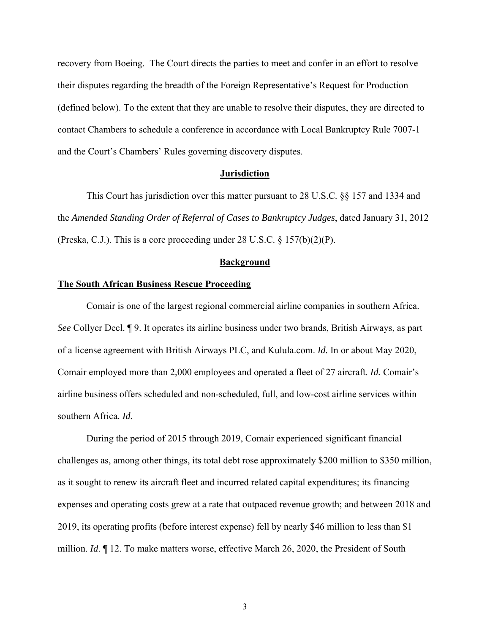recovery from Boeing. The Court directs the parties to meet and confer in an effort to resolve their disputes regarding the breadth of the Foreign Representative's Request for Production (defined below). To the extent that they are unable to resolve their disputes, they are directed to contact Chambers to schedule a conference in accordance with Local Bankruptcy Rule 7007-1 and the Court's Chambers' Rules governing discovery disputes.

#### **Jurisdiction**

 This Court has jurisdiction over this matter pursuant to 28 U.S.C. §§ 157 and 1334 and the *Amended Standing Order of Referral of Cases to Bankruptcy Judges*, dated January 31, 2012 (Preska, C.J.). This is a core proceeding under 28 U.S.C.  $\S 157(b)(2)(P)$ .

#### **Background**

#### **The South African Business Rescue Proceeding**

 Comair is one of the largest regional commercial airline companies in southern Africa. *See* Collyer Decl. ¶ 9. It operates its airline business under two brands, British Airways, as part of a license agreement with British Airways PLC, and Kulula.com. *Id.* In or about May 2020, Comair employed more than 2,000 employees and operated a fleet of 27 aircraft. *Id.* Comair's airline business offers scheduled and non-scheduled, full, and low-cost airline services within southern Africa. *Id.*

 During the period of 2015 through 2019, Comair experienced significant financial challenges as, among other things, its total debt rose approximately \$200 million to \$350 million, as it sought to renew its aircraft fleet and incurred related capital expenditures; its financing expenses and operating costs grew at a rate that outpaced revenue growth; and between 2018 and 2019, its operating profits (before interest expense) fell by nearly \$46 million to less than \$1 million. *Id*. ¶ 12. To make matters worse, effective March 26, 2020, the President of South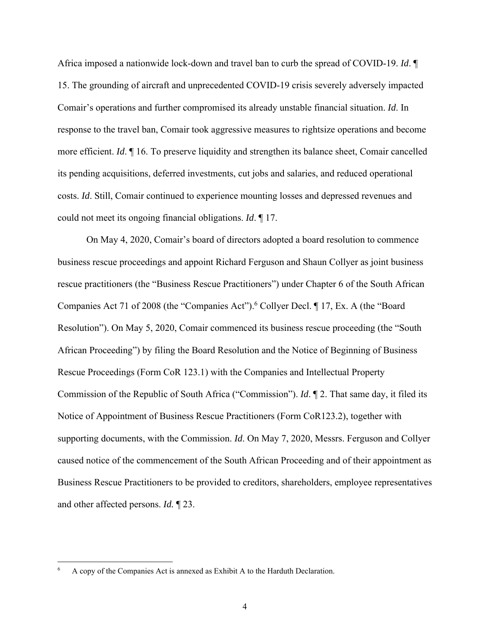Africa imposed a nationwide lock-down and travel ban to curb the spread of COVID-19. *Id*. ¶ 15. The grounding of aircraft and unprecedented COVID-19 crisis severely adversely impacted Comair's operations and further compromised its already unstable financial situation. *Id*. In response to the travel ban, Comair took aggressive measures to rightsize operations and become more efficient. *Id*. ¶ 16. To preserve liquidity and strengthen its balance sheet, Comair cancelled its pending acquisitions, deferred investments, cut jobs and salaries, and reduced operational costs. *Id*. Still, Comair continued to experience mounting losses and depressed revenues and could not meet its ongoing financial obligations. *Id*. ¶ 17.

 On May 4, 2020, Comair's board of directors adopted a board resolution to commence business rescue proceedings and appoint Richard Ferguson and Shaun Collyer as joint business rescue practitioners (the "Business Rescue Practitioners") under Chapter 6 of the South African Companies Act 71 of 2008 (the "Companies Act"). <sup>6</sup> Collyer Decl. ¶ 17, Ex. A (the "Board Resolution"). On May 5, 2020, Comair commenced its business rescue proceeding (the "South African Proceeding") by filing the Board Resolution and the Notice of Beginning of Business Rescue Proceedings (Form CoR 123.1) with the Companies and Intellectual Property Commission of the Republic of South Africa ("Commission"). *Id*. ¶ 2. That same day, it filed its Notice of Appointment of Business Rescue Practitioners (Form CoR123.2), together with supporting documents, with the Commission. *Id*. On May 7, 2020, Messrs. Ferguson and Collyer caused notice of the commencement of the South African Proceeding and of their appointment as Business Rescue Practitioners to be provided to creditors, shareholders, employee representatives and other affected persons. *Id.* ¶ 23.

<sup>6</sup> A copy of the Companies Act is annexed as Exhibit A to the Harduth Declaration.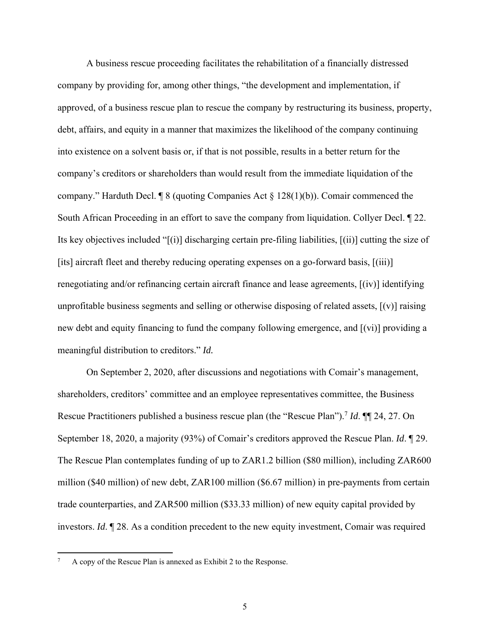A business rescue proceeding facilitates the rehabilitation of a financially distressed company by providing for, among other things, "the development and implementation, if approved, of a business rescue plan to rescue the company by restructuring its business, property, debt, affairs, and equity in a manner that maximizes the likelihood of the company continuing into existence on a solvent basis or, if that is not possible, results in a better return for the company's creditors or shareholders than would result from the immediate liquidation of the company." Harduth Decl.  $\sqrt{\frac{8}{18}}$  (quoting Companies Act  $\sqrt{\frac{8}{128}}$  128(1)(b)). Comair commenced the South African Proceeding in an effort to save the company from liquidation. Collyer Decl. ¶ 22. Its key objectives included "[(i)] discharging certain pre-filing liabilities, [(ii)] cutting the size of [its] aircraft fleet and thereby reducing operating expenses on a go-forward basis, [(iii)] renegotiating and/or refinancing certain aircraft finance and lease agreements, [(iv)] identifying unprofitable business segments and selling or otherwise disposing of related assets,  $[(v)]$  raising new debt and equity financing to fund the company following emergence, and [(vi)] providing a meaningful distribution to creditors." *Id.*

 On September 2, 2020, after discussions and negotiations with Comair's management, shareholders, creditors' committee and an employee representatives committee, the Business Rescue Practitioners published a business rescue plan (the "Rescue Plan").7 *Id*. ¶¶ 24, 27. On September 18, 2020, a majority (93%) of Comair's creditors approved the Rescue Plan. *Id*. ¶ 29. The Rescue Plan contemplates funding of up to ZAR1.2 billion (\$80 million), including ZAR600 million (\$40 million) of new debt, ZAR100 million (\$6.67 million) in pre-payments from certain trade counterparties, and ZAR500 million (\$33.33 million) of new equity capital provided by investors. *Id*. ¶ 28. As a condition precedent to the new equity investment, Comair was required

<sup>7</sup> A copy of the Rescue Plan is annexed as Exhibit 2 to the Response.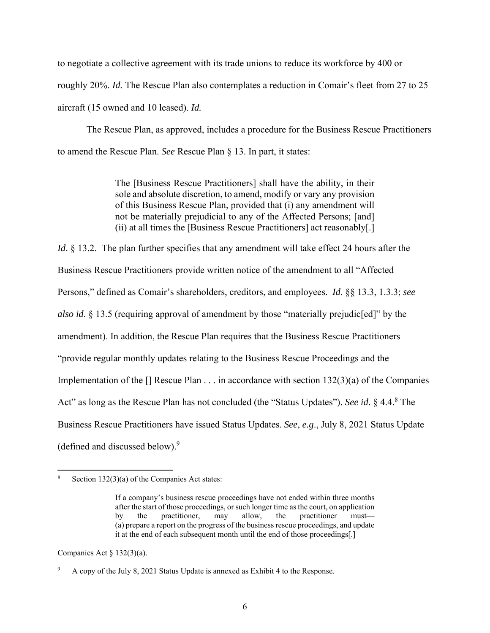to negotiate a collective agreement with its trade unions to reduce its workforce by 400 or roughly 20%. *Id.* The Rescue Plan also contemplates a reduction in Comair's fleet from 27 to 25 aircraft (15 owned and 10 leased). *Id.* 

The Rescue Plan, as approved, includes a procedure for the Business Rescue Practitioners to amend the Rescue Plan. *See* Rescue Plan § 13. In part, it states:

> The [Business Rescue Practitioners] shall have the ability, in their sole and absolute discretion, to amend, modify or vary any provision of this Business Rescue Plan, provided that (i) any amendment will not be materially prejudicial to any of the Affected Persons; [and] (ii) at all times the [Business Rescue Practitioners] act reasonably[.]

*Id.* § 13.2. The plan further specifies that any amendment will take effect 24 hours after the Business Rescue Practitioners provide written notice of the amendment to all "Affected Persons," defined as Comair's shareholders, creditors, and employees. *Id*. §§ 13.3, 1.3.3; *see also id*. § 13.5 (requiring approval of amendment by those "materially prejudic[ed]" by the amendment). In addition, the Rescue Plan requires that the Business Rescue Practitioners "provide regular monthly updates relating to the Business Rescue Proceedings and the Implementation of the  $\lceil \cdot \rceil$  Rescue Plan  $\dots$  in accordance with section 132(3)(a) of the Companies Act" as long as the Rescue Plan has not concluded (the "Status Updates"). *See id*. § 4.4.<sup>8</sup> The Business Rescue Practitioners have issued Status Updates. *See*, *e.g*., July 8, 2021 Status Update (defined and discussed below).9

Companies Act  $\S$  132(3)(a).

<sup>8</sup> Section 132(3)(a) of the Companies Act states:

If a company's business rescue proceedings have not ended within three months after the start of those proceedings, or such longer time as the court, on application by the practitioner, may allow, the practitioner must— (a) prepare a report on the progress of the business rescue proceedings, and update it at the end of each subsequent month until the end of those proceedings[.]

<sup>9</sup> A copy of the July 8, 2021 Status Update is annexed as Exhibit 4 to the Response.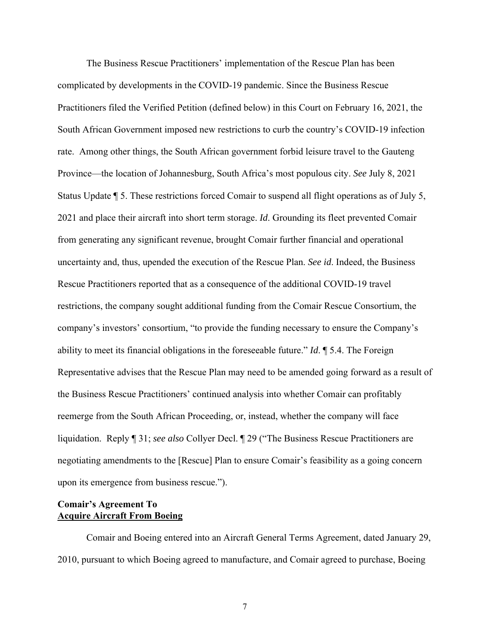The Business Rescue Practitioners' implementation of the Rescue Plan has been complicated by developments in the COVID-19 pandemic. Since the Business Rescue Practitioners filed the Verified Petition (defined below) in this Court on February 16, 2021, the South African Government imposed new restrictions to curb the country's COVID-19 infection rate. Among other things, the South African government forbid leisure travel to the Gauteng Province—the location of Johannesburg, South Africa's most populous city. *See* July 8, 2021 Status Update ¶ 5. These restrictions forced Comair to suspend all flight operations as of July 5, 2021 and place their aircraft into short term storage. *Id*. Grounding its fleet prevented Comair from generating any significant revenue, brought Comair further financial and operational uncertainty and, thus, upended the execution of the Rescue Plan. *See id*. Indeed, the Business Rescue Practitioners reported that as a consequence of the additional COVID-19 travel restrictions, the company sought additional funding from the Comair Rescue Consortium, the company's investors' consortium, "to provide the funding necessary to ensure the Company's ability to meet its financial obligations in the foreseeable future." *Id*. ¶ 5.4. The Foreign Representative advises that the Rescue Plan may need to be amended going forward as a result of the Business Rescue Practitioners' continued analysis into whether Comair can profitably reemerge from the South African Proceeding, or, instead, whether the company will face liquidation. Reply ¶ 31; *see also* Collyer Decl. ¶ 29 ("The Business Rescue Practitioners are negotiating amendments to the [Rescue] Plan to ensure Comair's feasibility as a going concern upon its emergence from business rescue.").

# **Comair's Agreement To Acquire Aircraft From Boeing**

Comair and Boeing entered into an Aircraft General Terms Agreement, dated January 29, 2010, pursuant to which Boeing agreed to manufacture, and Comair agreed to purchase, Boeing

7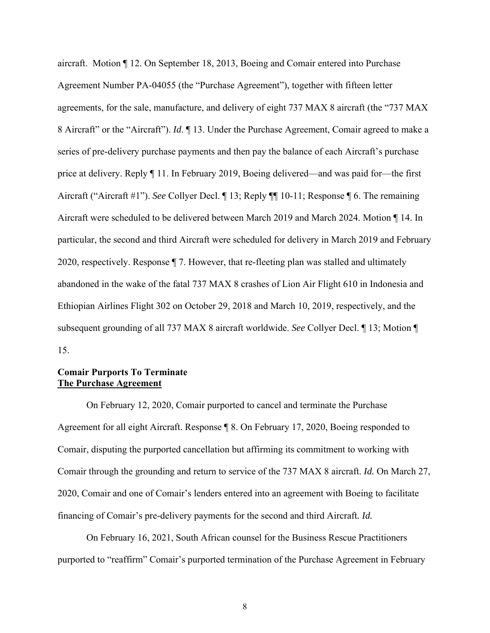aircraft. Motion ¶ 12. On September 18, 2013, Boeing and Comair entered into Purchase Agreement Number PA-04055 (the "Purchase Agreement"), together with fifteen letter agreements, for the sale, manufacture, and delivery of eight 737 MAX 8 aircraft (the "737 MAX 8 Aircraft" or the "Aircraft"). *Id*. ¶ 13. Under the Purchase Agreement, Comair agreed to make a series of pre-delivery purchase payments and then pay the balance of each Aircraft's purchase price at delivery. Reply ¶ 11. In February 2019, Boeing delivered—and was paid for—the first Aircraft ("Aircraft #1"). *See* Collyer Decl. ¶ 13; Reply ¶¶ 10-11; Response ¶ 6. The remaining Aircraft were scheduled to be delivered between March 2019 and March 2024. Motion ¶ 14. In particular, the second and third Aircraft were scheduled for delivery in March 2019 and February 2020, respectively. Response ¶ 7. However, that re-fleeting plan was stalled and ultimately abandoned in the wake of the fatal 737 MAX 8 crashes of Lion Air Flight 610 in Indonesia and Ethiopian Airlines Flight 302 on October 29, 2018 and March 10, 2019, respectively, and the subsequent grounding of all 737 MAX 8 aircraft worldwide. *See* Collyer Decl. ¶ 13; Motion ¶ 15.

# **Comair Purports To Terminate The Purchase Agreement**

 On February 12, 2020, Comair purported to cancel and terminate the Purchase Agreement for all eight Aircraft. Response ¶ 8. On February 17, 2020, Boeing responded to Comair, disputing the purported cancellation but affirming its commitment to working with Comair through the grounding and return to service of the 737 MAX 8 aircraft. *Id.* On March 27, 2020, Comair and one of Comair's lenders entered into an agreement with Boeing to facilitate financing of Comair's pre-delivery payments for the second and third Aircraft*. Id.*

 On February 16, 2021, South African counsel for the Business Rescue Practitioners purported to "reaffirm" Comair's purported termination of the Purchase Agreement in February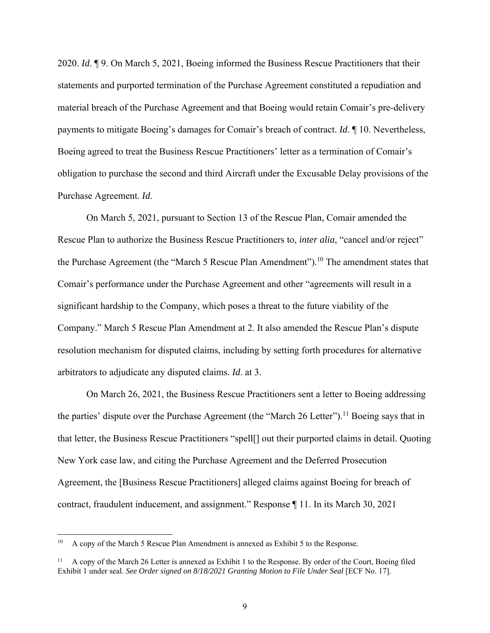2020. *Id*. ¶ 9. On March 5, 2021, Boeing informed the Business Rescue Practitioners that their statements and purported termination of the Purchase Agreement constituted a repudiation and material breach of the Purchase Agreement and that Boeing would retain Comair's pre-delivery payments to mitigate Boeing's damages for Comair's breach of contract. *Id*. ¶ 10. Nevertheless, Boeing agreed to treat the Business Rescue Practitioners' letter as a termination of Comair's obligation to purchase the second and third Aircraft under the Excusable Delay provisions of the Purchase Agreement. *Id*.

On March 5, 2021, pursuant to Section 13 of the Rescue Plan, Comair amended the Rescue Plan to authorize the Business Rescue Practitioners to, *inter alia*, "cancel and/or reject" the Purchase Agreement (the "March 5 Rescue Plan Amendment").<sup>10</sup> The amendment states that Comair's performance under the Purchase Agreement and other "agreements will result in a significant hardship to the Company, which poses a threat to the future viability of the Company." March 5 Rescue Plan Amendment at 2. It also amended the Rescue Plan's dispute resolution mechanism for disputed claims, including by setting forth procedures for alternative arbitrators to adjudicate any disputed claims. *Id*. at 3.

 On March 26, 2021, the Business Rescue Practitioners sent a letter to Boeing addressing the parties' dispute over the Purchase Agreement (the "March 26 Letter").<sup>11</sup> Boeing says that in that letter, the Business Rescue Practitioners "spell[] out their purported claims in detail. Quoting New York case law, and citing the Purchase Agreement and the Deferred Prosecution Agreement, the [Business Rescue Practitioners] alleged claims against Boeing for breach of contract, fraudulent inducement, and assignment." Response ¶ 11. In its March 30, 2021

<sup>&</sup>lt;sup>10</sup> A copy of the March 5 Rescue Plan Amendment is annexed as Exhibit 5 to the Response.

A copy of the March 26 Letter is annexed as Exhibit 1 to the Response. By order of the Court, Boeing filed Exhibit 1 under seal. *See Order signed on 8/18/2021 Granting Motion to File Under Seal* [ECF No. 17].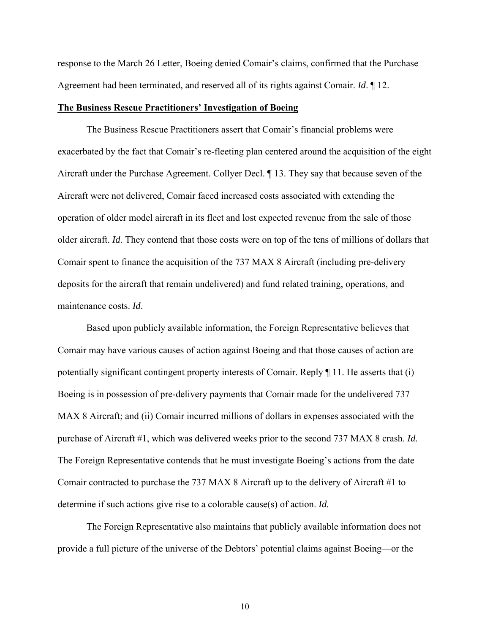response to the March 26 Letter, Boeing denied Comair's claims, confirmed that the Purchase Agreement had been terminated, and reserved all of its rights against Comair. *Id*. ¶ 12.

#### **The Business Rescue Practitioners' Investigation of Boeing**

 The Business Rescue Practitioners assert that Comair's financial problems were exacerbated by the fact that Comair's re-fleeting plan centered around the acquisition of the eight Aircraft under the Purchase Agreement. Collyer Decl. ¶ 13. They say that because seven of the Aircraft were not delivered, Comair faced increased costs associated with extending the operation of older model aircraft in its fleet and lost expected revenue from the sale of those older aircraft. *Id*. They contend that those costs were on top of the tens of millions of dollars that Comair spent to finance the acquisition of the 737 MAX 8 Aircraft (including pre-delivery deposits for the aircraft that remain undelivered) and fund related training, operations, and maintenance costs. *Id*.

 Based upon publicly available information, the Foreign Representative believes that Comair may have various causes of action against Boeing and that those causes of action are potentially significant contingent property interests of Comair. Reply ¶ 11. He asserts that (i) Boeing is in possession of pre-delivery payments that Comair made for the undelivered 737 MAX 8 Aircraft; and (ii) Comair incurred millions of dollars in expenses associated with the purchase of Aircraft #1, which was delivered weeks prior to the second 737 MAX 8 crash. *Id.* The Foreign Representative contends that he must investigate Boeing's actions from the date Comair contracted to purchase the 737 MAX 8 Aircraft up to the delivery of Aircraft #1 to determine if such actions give rise to a colorable cause(s) of action. *Id.*

The Foreign Representative also maintains that publicly available information does not provide a full picture of the universe of the Debtors' potential claims against Boeing—or the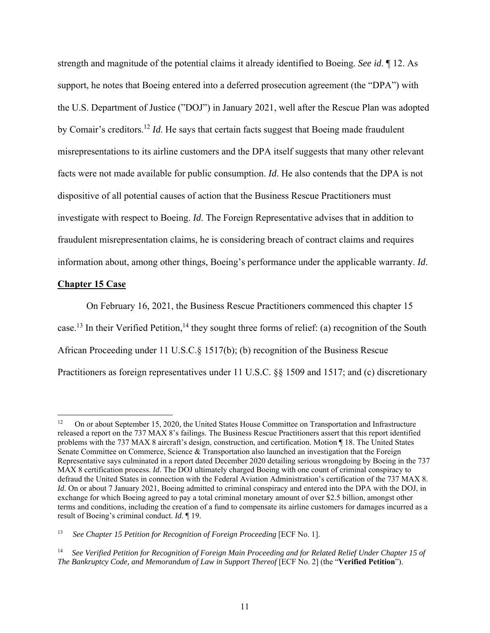strength and magnitude of the potential claims it already identified to Boeing. *See id*. ¶ 12. As support, he notes that Boeing entered into a deferred prosecution agreement (the "DPA") with the U.S. Department of Justice ("DOJ") in January 2021, well after the Rescue Plan was adopted by Comair's creditors.12 *Id*. He says that certain facts suggest that Boeing made fraudulent misrepresentations to its airline customers and the DPA itself suggests that many other relevant facts were not made available for public consumption. *Id*. He also contends that the DPA is not dispositive of all potential causes of action that the Business Rescue Practitioners must investigate with respect to Boeing. *Id*. The Foreign Representative advises that in addition to fraudulent misrepresentation claims, he is considering breach of contract claims and requires information about, among other things, Boeing's performance under the applicable warranty. *Id*.

#### **Chapter 15 Case**

 On February 16, 2021, the Business Rescue Practitioners commenced this chapter 15 case.<sup>13</sup> In their Verified Petition,<sup>14</sup> they sought three forms of relief: (a) recognition of the South African Proceeding under 11 U.S.C.§ 1517(b); (b) recognition of the Business Rescue Practitioners as foreign representatives under 11 U.S.C. §§ 1509 and 1517; and (c) discretionary

<sup>12</sup> On or about September 15, 2020, the United States House Committee on Transportation and Infrastructure released a report on the 737 MAX 8's failings. The Business Rescue Practitioners assert that this report identified problems with the 737 MAX 8 aircraft's design, construction, and certification. Motion ¶ 18. The United States Senate Committee on Commerce, Science & Transportation also launched an investigation that the Foreign Representative says culminated in a report dated December 2020 detailing serious wrongdoing by Boeing in the 737 MAX 8 certification process. *Id*. The DOJ ultimately charged Boeing with one count of criminal conspiracy to defraud the United States in connection with the Federal Aviation Administration's certification of the 737 MAX 8. *Id*. On or about 7 January 2021, Boeing admitted to criminal conspiracy and entered into the DPA with the DOJ, in exchange for which Boeing agreed to pay a total criminal monetary amount of over \$2.5 billion, amongst other terms and conditions, including the creation of a fund to compensate its airline customers for damages incurred as a result of Boeing's criminal conduct. *Id*. ¶ 19.

<sup>13</sup> *See Chapter 15 Petition for Recognition of Foreign Proceeding* [ECF No. 1].

<sup>14</sup> *See Verified Petition for Recognition of Foreign Main Proceeding and for Related Relief Under Chapter 15 of The Bankruptcy Code, and Memorandum of Law in Support Thereof* [ECF No. 2] (the "**Verified Petition**").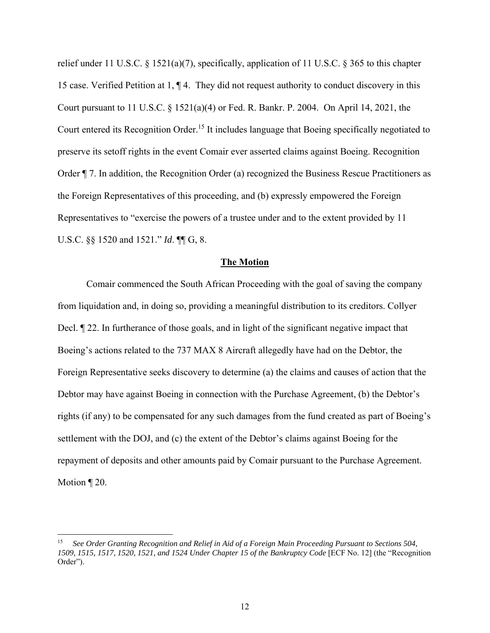relief under 11 U.S.C. § 1521(a)(7), specifically, application of 11 U.S.C. § 365 to this chapter 15 case. Verified Petition at 1, ¶ 4. They did not request authority to conduct discovery in this Court pursuant to 11 U.S.C. § 1521(a)(4) or Fed. R. Bankr. P. 2004. On April 14, 2021, the Court entered its Recognition Order.<sup>15</sup> It includes language that Boeing specifically negotiated to preserve its setoff rights in the event Comair ever asserted claims against Boeing. Recognition Order ¶ 7. In addition, the Recognition Order (a) recognized the Business Rescue Practitioners as the Foreign Representatives of this proceeding, and (b) expressly empowered the Foreign Representatives to "exercise the powers of a trustee under and to the extent provided by 11 U.S.C. §§ 1520 and 1521." *Id*. ¶¶ G, 8.

#### **The Motion**

 Comair commenced the South African Proceeding with the goal of saving the company from liquidation and, in doing so, providing a meaningful distribution to its creditors. Collyer Decl. ¶ 22. In furtherance of those goals, and in light of the significant negative impact that Boeing's actions related to the 737 MAX 8 Aircraft allegedly have had on the Debtor, the Foreign Representative seeks discovery to determine (a) the claims and causes of action that the Debtor may have against Boeing in connection with the Purchase Agreement, (b) the Debtor's rights (if any) to be compensated for any such damages from the fund created as part of Boeing's settlement with the DOJ, and (c) the extent of the Debtor's claims against Boeing for the repayment of deposits and other amounts paid by Comair pursuant to the Purchase Agreement. Motion ¶ 20.

<sup>15</sup> *See Order Granting Recognition and Relief in Aid of a Foreign Main Proceeding Pursuant to Sections 504, 1509, 1515, 1517, 1520, 1521, and 1524 Under Chapter 15 of the Bankruptcy Code* [ECF No. 12] (the "Recognition Order").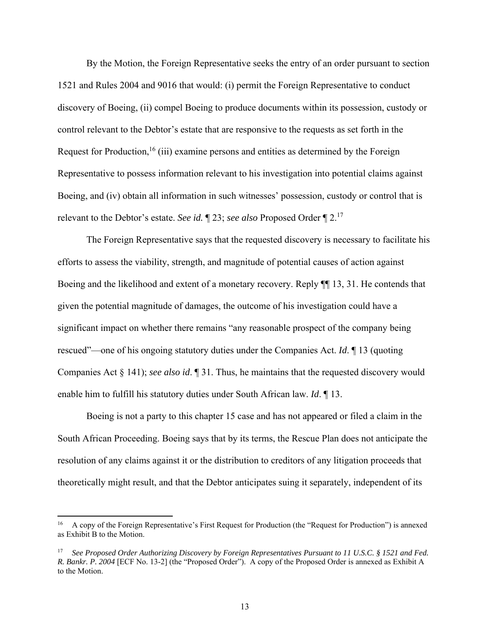By the Motion, the Foreign Representative seeks the entry of an order pursuant to section 1521 and Rules 2004 and 9016 that would: (i) permit the Foreign Representative to conduct discovery of Boeing, (ii) compel Boeing to produce documents within its possession, custody or control relevant to the Debtor's estate that are responsive to the requests as set forth in the Request for Production,<sup>16</sup> (iii) examine persons and entities as determined by the Foreign Representative to possess information relevant to his investigation into potential claims against Boeing, and (iv) obtain all information in such witnesses' possession, custody or control that is relevant to the Debtor's estate. *See id.* ¶ 23; *see also* Proposed Order ¶ 2.17

 The Foreign Representative says that the requested discovery is necessary to facilitate his efforts to assess the viability, strength, and magnitude of potential causes of action against Boeing and the likelihood and extent of a monetary recovery. Reply ¶¶ 13, 31. He contends that given the potential magnitude of damages, the outcome of his investigation could have a significant impact on whether there remains "any reasonable prospect of the company being rescued"—one of his ongoing statutory duties under the Companies Act. *Id*. ¶ 13 (quoting Companies Act § 141); *see also id*. ¶ 31. Thus, he maintains that the requested discovery would enable him to fulfill his statutory duties under South African law. *Id*. ¶ 13.

 Boeing is not a party to this chapter 15 case and has not appeared or filed a claim in the South African Proceeding. Boeing says that by its terms, the Rescue Plan does not anticipate the resolution of any claims against it or the distribution to creditors of any litigation proceeds that theoretically might result, and that the Debtor anticipates suing it separately, independent of its

<sup>16</sup> A copy of the Foreign Representative's First Request for Production (the "Request for Production") is annexed as Exhibit B to the Motion.

<sup>17</sup> *See Proposed Order Authorizing Discovery by Foreign Representatives Pursuant to 11 U.S.C. § 1521 and Fed. R. Bankr. P. 2004* [ECF No. 13-2] (the "Proposed Order"). A copy of the Proposed Order is annexed as Exhibit A to the Motion.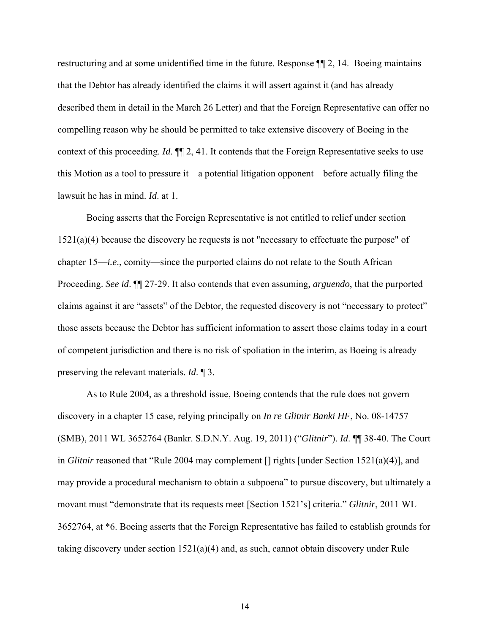restructuring and at some unidentified time in the future. Response ¶¶ 2, 14. Boeing maintains that the Debtor has already identified the claims it will assert against it (and has already described them in detail in the March 26 Letter) and that the Foreign Representative can offer no compelling reason why he should be permitted to take extensive discovery of Boeing in the context of this proceeding. *Id*. ¶¶ 2, 41. It contends that the Foreign Representative seeks to use this Motion as a tool to pressure it—a potential litigation opponent—before actually filing the lawsuit he has in mind. *Id*. at 1.

Boeing asserts that the Foreign Representative is not entitled to relief under section 1521(a)(4) because the discovery he requests is not "necessary to effectuate the purpose" of chapter 15—*i.e*., comity—since the purported claims do not relate to the South African Proceeding. *See id*. ¶¶ 27-29. It also contends that even assuming*, arguendo*, that the purported claims against it are "assets" of the Debtor, the requested discovery is not "necessary to protect" those assets because the Debtor has sufficient information to assert those claims today in a court of competent jurisdiction and there is no risk of spoliation in the interim, as Boeing is already preserving the relevant materials. *Id*. ¶ 3.

As to Rule 2004, as a threshold issue, Boeing contends that the rule does not govern discovery in a chapter 15 case, relying principally on *In re Glitnir Banki HF*, No. 08-14757 (SMB), 2011 WL 3652764 (Bankr. S.D.N.Y. Aug. 19, 2011) ("*Glitnir*"). *Id*. ¶¶ 38-40. The Court in *Glitnir* reasoned that "Rule 2004 may complement [] rights [under Section 1521(a)(4)], and may provide a procedural mechanism to obtain a subpoena" to pursue discovery, but ultimately a movant must "demonstrate that its requests meet [Section 1521's] criteria." *Glitnir*, 2011 WL 3652764, at \*6. Boeing asserts that the Foreign Representative has failed to establish grounds for taking discovery under section  $1521(a)(4)$  and, as such, cannot obtain discovery under Rule

14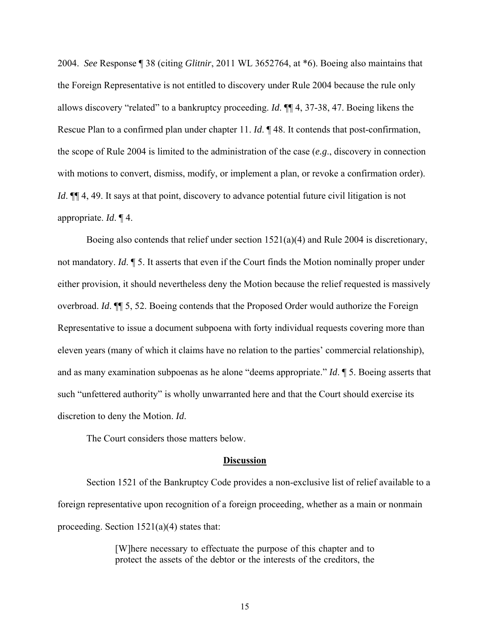2004. *See* Response ¶ 38 (citing *Glitnir*, 2011 WL 3652764, at \*6). Boeing also maintains that the Foreign Representative is not entitled to discovery under Rule 2004 because the rule only allows discovery "related" to a bankruptcy proceeding. *Id*. ¶¶ 4, 37-38, 47. Boeing likens the Rescue Plan to a confirmed plan under chapter 11. *Id*. ¶ 48. It contends that post-confirmation, the scope of Rule 2004 is limited to the administration of the case (*e.g*., discovery in connection with motions to convert, dismiss, modify, or implement a plan, or revoke a confirmation order). *Id*.  $\P$  4, 49. It says at that point, discovery to advance potential future civil litigation is not appropriate. *Id*. ¶ 4.

 Boeing also contends that relief under section 1521(a)(4) and Rule 2004 is discretionary, not mandatory. *Id*. ¶ 5. It asserts that even if the Court finds the Motion nominally proper under either provision, it should nevertheless deny the Motion because the relief requested is massively overbroad. *Id*. ¶¶ 5, 52. Boeing contends that the Proposed Order would authorize the Foreign Representative to issue a document subpoena with forty individual requests covering more than eleven years (many of which it claims have no relation to the parties' commercial relationship), and as many examination subpoenas as he alone "deems appropriate." *Id*. ¶ 5. Boeing asserts that such "unfettered authority" is wholly unwarranted here and that the Court should exercise its discretion to deny the Motion. *Id*.

The Court considers those matters below.

#### **Discussion**

Section 1521 of the Bankruptcy Code provides a non-exclusive list of relief available to a foreign representative upon recognition of a foreign proceeding, whether as a main or nonmain proceeding. Section 1521(a)(4) states that:

> [W]here necessary to effectuate the purpose of this chapter and to protect the assets of the debtor or the interests of the creditors, the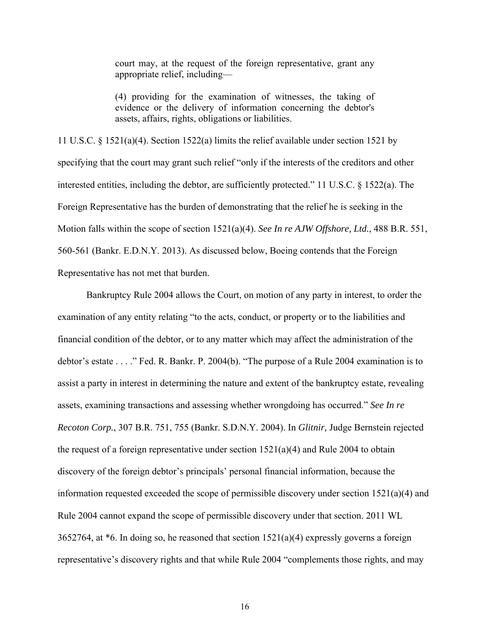court may, at the request of the foreign representative, grant any appropriate relief, including—

(4) providing for the examination of witnesses, the taking of evidence or the delivery of information concerning the debtor's assets, affairs, rights, obligations or liabilities.

11 U.S.C. § 1521(a)(4). Section 1522(a) limits the relief available under section 1521 by specifying that the court may grant such relief "only if the interests of the creditors and other interested entities, including the debtor, are sufficiently protected." 11 U.S.C. § 1522(a). The Foreign Representative has the burden of demonstrating that the relief he is seeking in the Motion falls within the scope of section 1521(a)(4). *See In re AJW Offshore, Ltd.*, 488 B.R. 551, 560-561 (Bankr. E.D.N.Y. 2013). As discussed below, Boeing contends that the Foreign Representative has not met that burden.

 Bankruptcy Rule 2004 allows the Court, on motion of any party in interest, to order the examination of any entity relating "to the acts, conduct, or property or to the liabilities and financial condition of the debtor, or to any matter which may affect the administration of the debtor's estate . . . ." Fed. R. Bankr. P. 2004(b). "The purpose of a Rule 2004 examination is to assist a party in interest in determining the nature and extent of the bankruptcy estate, revealing assets, examining transactions and assessing whether wrongdoing has occurred." *See In re Recoton Corp.*, 307 B.R. 751, 755 (Bankr. S.D.N.Y. 2004). In *Glitnir,* Judge Bernstein rejected the request of a foreign representative under section  $1521(a)(4)$  and Rule 2004 to obtain discovery of the foreign debtor's principals' personal financial information, because the information requested exceeded the scope of permissible discovery under section 1521(a)(4) and Rule 2004 cannot expand the scope of permissible discovery under that section. 2011 WL 3652764, at  $*6$ . In doing so, he reasoned that section  $1521(a)(4)$  expressly governs a foreign representative's discovery rights and that while Rule 2004 "complements those rights, and may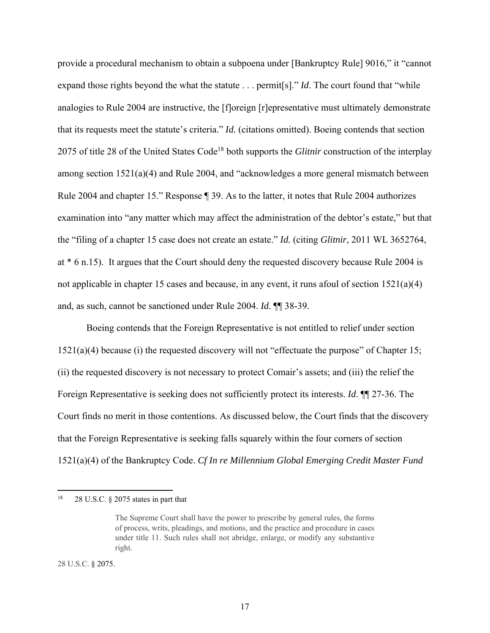provide a procedural mechanism to obtain a subpoena under [Bankruptcy Rule] 9016," it "cannot expand those rights beyond the what the statute . . . permit[s]." *Id*. The court found that "while analogies to Rule 2004 are instructive, the [f]oreign [r]epresentative must ultimately demonstrate that its requests meet the statute's criteria." *Id.* (citations omitted). Boeing contends that section 2075 of title 28 of the United States Code18 both supports the *Glitnir* construction of the interplay among section 1521(a)(4) and Rule 2004, and "acknowledges a more general mismatch between Rule 2004 and chapter 15." Response ¶ 39. As to the latter, it notes that Rule 2004 authorizes examination into "any matter which may affect the administration of the debtor's estate," but that the "filing of a chapter 15 case does not create an estate." *Id.* (citing *Glitnir*, 2011 WL 3652764, at \* 6 n.15). It argues that the Court should deny the requested discovery because Rule 2004 is not applicable in chapter 15 cases and because, in any event, it runs afoul of section 1521(a)(4) and, as such, cannot be sanctioned under Rule 2004. *Id*. ¶¶ 38-39.

 Boeing contends that the Foreign Representative is not entitled to relief under section 1521(a)(4) because (i) the requested discovery will not "effectuate the purpose" of Chapter 15; (ii) the requested discovery is not necessary to protect Comair's assets; and (iii) the relief the Foreign Representative is seeking does not sufficiently protect its interests. *Id*. ¶¶ 27-36. The Court finds no merit in those contentions. As discussed below, the Court finds that the discovery that the Foreign Representative is seeking falls squarely within the four corners of section 1521(a)(4) of the Bankruptcy Code. *Cf In re Millennium Global Emerging Credit Master Fund* 

28 U.S.C. § 2075.

<sup>18 28</sup> U.S.C. § 2075 states in part that

The Supreme Court shall have the power to prescribe by general rules, the forms of process, writs, pleadings, and motions, and the practice and procedure in cases under title 11. Such rules shall not abridge, enlarge, or modify any substantive right.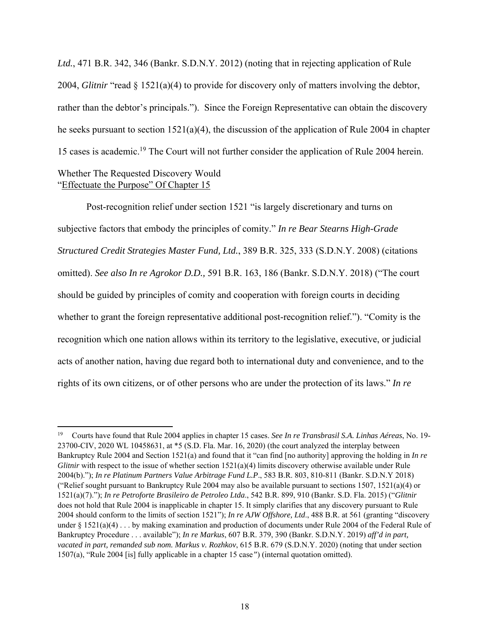*Ltd.*, 471 B.R. 342, 346 (Bankr. S.D.N.Y. 2012) (noting that in rejecting application of Rule 2004, *Glitnir* "read § 1521(a)(4) to provide for discovery only of matters involving the debtor, rather than the debtor's principals."). Since the Foreign Representative can obtain the discovery he seeks pursuant to section 1521(a)(4), the discussion of the application of Rule 2004 in chapter 15 cases is academic.19 The Court will not further consider the application of Rule 2004 herein. Whether The Requested Discovery Would

# "Effectuate the Purpose" Of Chapter 15

 Post-recognition relief under section 1521 "is largely discretionary and turns on subjective factors that embody the principles of comity." *In re Bear Stearns High-Grade Structured Credit Strategies Master Fund, Ltd.*, 389 B.R. 325, 333 (S.D.N.Y. 2008) (citations omitted). *See also In re Agrokor D.D.,* 591 B.R. 163, 186 (Bankr. S.D.N.Y. 2018) ("The court should be guided by principles of comity and cooperation with foreign courts in deciding whether to grant the foreign representative additional post-recognition relief."). "Comity is the recognition which one nation allows within its territory to the legislative, executive, or judicial acts of another nation, having due regard both to international duty and convenience, and to the rights of its own citizens, or of other persons who are under the protection of its laws." *In re* 

<sup>19</sup> Courts have found that Rule 2004 applies in chapter 15 cases. *See In re Transbrasil S.A. Linhas Aéreas*, No. 19- 23700-CIV, 2020 WL 10458631, at \*5 (S.D. Fla. Mar. 16, 2020) (the court analyzed the interplay between Bankruptcy Rule 2004 and Section 1521(a) and found that it "can find [no authority] approving the holding in *In re Glitnir* with respect to the issue of whether section 1521(a)(4) limits discovery otherwise available under Rule 2004(b)."); *In re Platinum Partners Value Arbitrage Fund L.P*., 583 B.R. 803, 810-811 (Bankr. S.D.N.Y 2018) ("Relief sought pursuant to Bankruptcy Rule 2004 may also be available pursuant to sections 1507, 1521(a)(4) or 1521(a)(7)."); *In re Petroforte Brasileiro de Petroleo Ltda*., 542 B.R. 899, 910 (Bankr. S.D. Fla. 2015) ("*Glitnir* does not hold that Rule 2004 is inapplicable in chapter 15. It simply clarifies that any discovery pursuant to Rule 2004 should conform to the limits of section 1521"); *In re AJW Offshore, Ltd*., 488 B.R. at 561 (granting "discovery under § 1521(a)(4) . . . by making examination and production of documents under Rule 2004 of the Federal Rule of Bankruptcy Procedure . . . available"); *In re Markus*, 607 B.R. 379, 390 (Bankr. S.D.N.Y. 2019) *aff'd in part, vacated in part, remanded sub nom. Markus v. Rozhkov*, 615 B.R. 679 (S.D.N.Y. 2020) (noting that under section 1507(a), "Rule 2004 [is] fully applicable in a chapter 15 case*"*) (internal quotation omitted).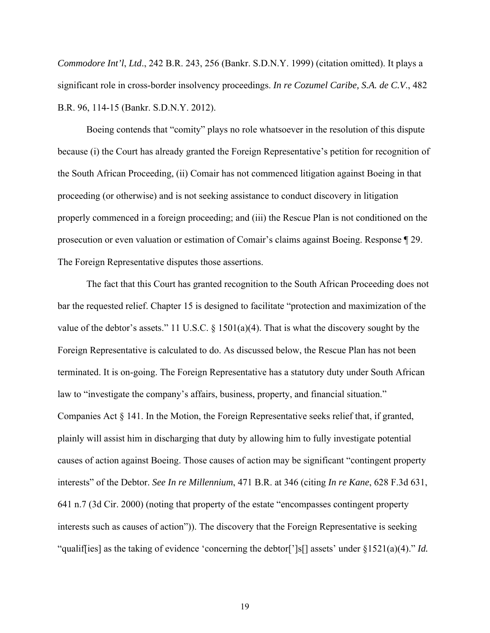*Commodore Int'l*, *Ltd*., 242 B.R. 243, 256 (Bankr. S.D.N.Y. 1999) (citation omitted). It plays a significant role in cross-border insolvency proceedings. *In re Cozumel Caribe, S.A. de C.V*., 482 B.R. 96, 114-15 (Bankr. S.D.N.Y. 2012).

Boeing contends that "comity" plays no role whatsoever in the resolution of this dispute because (i) the Court has already granted the Foreign Representative's petition for recognition of the South African Proceeding, (ii) Comair has not commenced litigation against Boeing in that proceeding (or otherwise) and is not seeking assistance to conduct discovery in litigation properly commenced in a foreign proceeding; and (iii) the Rescue Plan is not conditioned on the prosecution or even valuation or estimation of Comair's claims against Boeing. Response ¶ 29. The Foreign Representative disputes those assertions.

The fact that this Court has granted recognition to the South African Proceeding does not bar the requested relief. Chapter 15 is designed to facilitate "protection and maximization of the value of the debtor's assets." 11 U.S.C.  $\S$  1501(a)(4). That is what the discovery sought by the Foreign Representative is calculated to do. As discussed below, the Rescue Plan has not been terminated. It is on-going. The Foreign Representative has a statutory duty under South African law to "investigate the company's affairs, business, property, and financial situation." Companies Act  $\S 141$ . In the Motion, the Foreign Representative seeks relief that, if granted, plainly will assist him in discharging that duty by allowing him to fully investigate potential causes of action against Boeing. Those causes of action may be significant "contingent property interests" of the Debtor. *See In re Millennium*, 471 B.R. at 346 (citing *In re Kane*, 628 F.3d 631, 641 n.7 (3d Cir. 2000) (noting that property of the estate "encompasses contingent property interests such as causes of action")). The discovery that the Foreign Representative is seeking "qualif[ies] as the taking of evidence 'concerning the debtor[']s[] assets' under §1521(a)(4)." *Id.*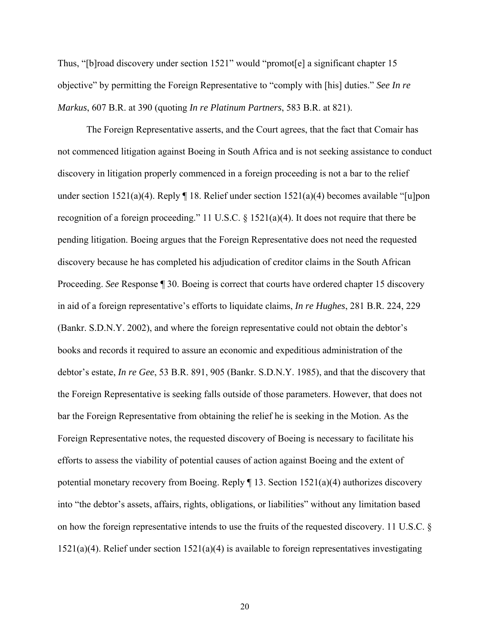Thus, "[b]road discovery under section 1521" would "promot[e] a significant chapter 15 objective" by permitting the Foreign Representative to "comply with [his] duties." *See In re Markus*, 607 B.R. at 390 (quoting *In re Platinum Partners*, 583 B.R. at 821).

The Foreign Representative asserts, and the Court agrees, that the fact that Comair has not commenced litigation against Boeing in South Africa and is not seeking assistance to conduct discovery in litigation properly commenced in a foreign proceeding is not a bar to the relief under section 1521(a)(4). Reply  $\P$  18. Relief under section 1521(a)(4) becomes available "[u]pon recognition of a foreign proceeding." 11 U.S.C. § 1521(a)(4). It does not require that there be pending litigation. Boeing argues that the Foreign Representative does not need the requested discovery because he has completed his adjudication of creditor claims in the South African Proceeding. *See* Response ¶ 30. Boeing is correct that courts have ordered chapter 15 discovery in aid of a foreign representative's efforts to liquidate claims, *In re Hughes*, 281 B.R. 224, 229 (Bankr. S.D.N.Y. 2002), and where the foreign representative could not obtain the debtor's books and records it required to assure an economic and expeditious administration of the debtor's estate, *In re Gee*, 53 B.R. 891, 905 (Bankr. S.D.N.Y. 1985), and that the discovery that the Foreign Representative is seeking falls outside of those parameters. However, that does not bar the Foreign Representative from obtaining the relief he is seeking in the Motion. As the Foreign Representative notes, the requested discovery of Boeing is necessary to facilitate his efforts to assess the viability of potential causes of action against Boeing and the extent of potential monetary recovery from Boeing. Reply  $\P$  13. Section 1521(a)(4) authorizes discovery into "the debtor's assets, affairs, rights, obligations, or liabilities" without any limitation based on how the foreign representative intends to use the fruits of the requested discovery. 11 U.S.C. §  $1521(a)(4)$ . Relief under section  $1521(a)(4)$  is available to foreign representatives investigating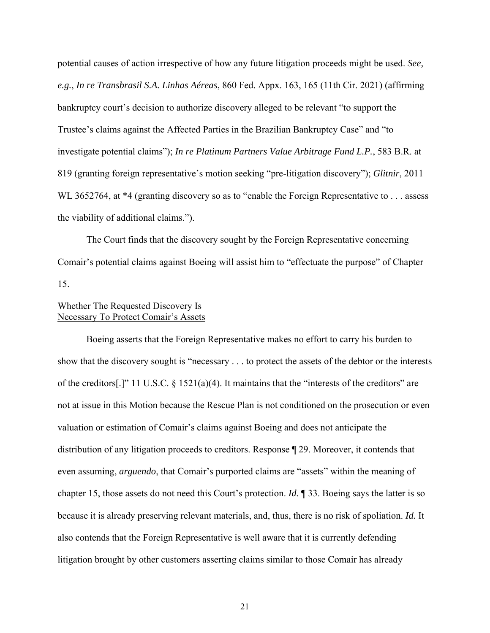potential causes of action irrespective of how any future litigation proceeds might be used. *See, e.g.*, *In re Transbrasil S.A. Linhas Aéreas*, 860 Fed. Appx. 163, 165 (11th Cir. 2021) (affirming bankruptcy court's decision to authorize discovery alleged to be relevant "to support the Trustee's claims against the Affected Parties in the Brazilian Bankruptcy Case" and "to investigate potential claims"); *In re Platinum Partners Value Arbitrage Fund L.P.*, 583 B.R. at 819 (granting foreign representative's motion seeking "pre-litigation discovery"); *Glitnir*, 2011 WL 3652764, at \*4 (granting discovery so as to "enable the Foreign Representative to . . . assess the viability of additional claims.").

 The Court finds that the discovery sought by the Foreign Representative concerning Comair's potential claims against Boeing will assist him to "effectuate the purpose" of Chapter 15.

# Whether The Requested Discovery Is Necessary To Protect Comair's Assets

 Boeing asserts that the Foreign Representative makes no effort to carry his burden to show that the discovery sought is "necessary . . . to protect the assets of the debtor or the interests of the creditors[.]" 11 U.S.C. § 1521(a)(4). It maintains that the "interests of the creditors" are not at issue in this Motion because the Rescue Plan is not conditioned on the prosecution or even valuation or estimation of Comair's claims against Boeing and does not anticipate the distribution of any litigation proceeds to creditors. Response ¶ 29. Moreover, it contends that even assuming, *arguendo*, that Comair's purported claims are "assets" within the meaning of chapter 15, those assets do not need this Court's protection. *Id.* ¶ 33. Boeing says the latter is so because it is already preserving relevant materials, and, thus, there is no risk of spoliation. *Id.* It also contends that the Foreign Representative is well aware that it is currently defending litigation brought by other customers asserting claims similar to those Comair has already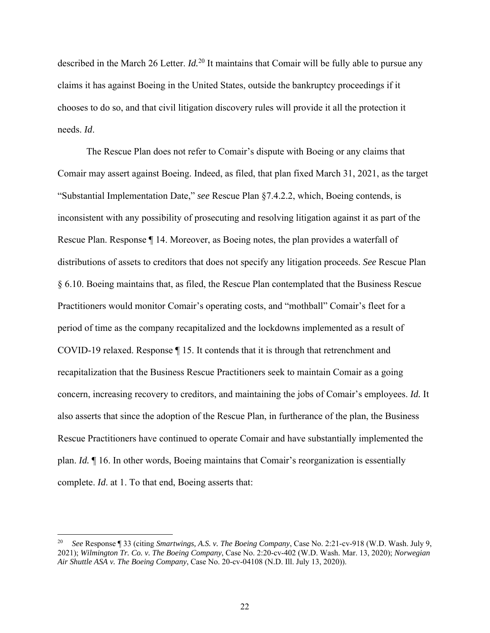described in the March 26 Letter. *Id.*20 It maintains that Comair will be fully able to pursue any claims it has against Boeing in the United States, outside the bankruptcy proceedings if it chooses to do so, and that civil litigation discovery rules will provide it all the protection it needs. *Id*.

 The Rescue Plan does not refer to Comair's dispute with Boeing or any claims that Comair may assert against Boeing. Indeed, as filed, that plan fixed March 31, 2021, as the target "Substantial Implementation Date," *see* Rescue Plan §7.4.2.2, which, Boeing contends, is inconsistent with any possibility of prosecuting and resolving litigation against it as part of the Rescue Plan. Response ¶ 14. Moreover, as Boeing notes, the plan provides a waterfall of distributions of assets to creditors that does not specify any litigation proceeds. *See* Rescue Plan § 6.10. Boeing maintains that, as filed, the Rescue Plan contemplated that the Business Rescue Practitioners would monitor Comair's operating costs, and "mothball" Comair's fleet for a period of time as the company recapitalized and the lockdowns implemented as a result of COVID-19 relaxed. Response ¶ 15. It contends that it is through that retrenchment and recapitalization that the Business Rescue Practitioners seek to maintain Comair as a going concern, increasing recovery to creditors, and maintaining the jobs of Comair's employees. *Id.* It also asserts that since the adoption of the Rescue Plan, in furtherance of the plan, the Business Rescue Practitioners have continued to operate Comair and have substantially implemented the plan. *Id.* ¶ 16. In other words, Boeing maintains that Comair's reorganization is essentially complete. *Id*. at 1. To that end, Boeing asserts that:

<sup>20</sup> *See* Response ¶ 33 (citing *Smartwings, A.S. v. The Boeing Company*, Case No. 2:21-cv-918 (W.D. Wash. July 9, 2021); *Wilmington Tr. Co. v. The Boeing Company*, Case No. 2:20-cv-402 (W.D. Wash. Mar. 13, 2020); *Norwegian Air Shuttle ASA v. The Boeing Company*, Case No. 20-cv-04108 (N.D. Ill. July 13, 2020)).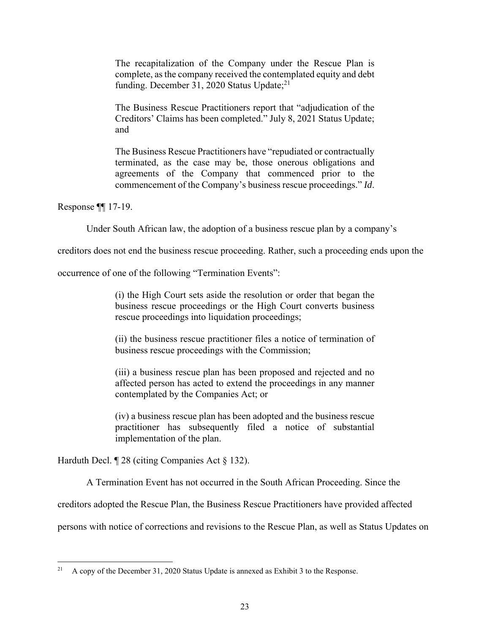The recapitalization of the Company under the Rescue Plan is complete, as the company received the contemplated equity and debt funding. December 31, 2020 Status Update; $^{21}$ 

The Business Rescue Practitioners report that "adjudication of the Creditors' Claims has been completed." July 8, 2021 Status Update; and

The Business Rescue Practitioners have "repudiated or contractually terminated, as the case may be, those onerous obligations and agreements of the Company that commenced prior to the commencement of the Company's business rescue proceedings." *Id*.

Response ¶¶ 17-19.

Under South African law, the adoption of a business rescue plan by a company's

creditors does not end the business rescue proceeding. Rather, such a proceeding ends upon the

occurrence of one of the following "Termination Events":

(i) the High Court sets aside the resolution or order that began the business rescue proceedings or the High Court converts business rescue proceedings into liquidation proceedings;

(ii) the business rescue practitioner files a notice of termination of business rescue proceedings with the Commission;

(iii) a business rescue plan has been proposed and rejected and no affected person has acted to extend the proceedings in any manner contemplated by the Companies Act; or

(iv) a business rescue plan has been adopted and the business rescue practitioner has subsequently filed a notice of substantial implementation of the plan.

Harduth Decl. ¶ 28 (citing Companies Act § 132).

A Termination Event has not occurred in the South African Proceeding. Since the

creditors adopted the Rescue Plan, the Business Rescue Practitioners have provided affected

persons with notice of corrections and revisions to the Rescue Plan, as well as Status Updates on

<sup>&</sup>lt;sup>21</sup> A copy of the December 31, 2020 Status Update is annexed as Exhibit 3 to the Response.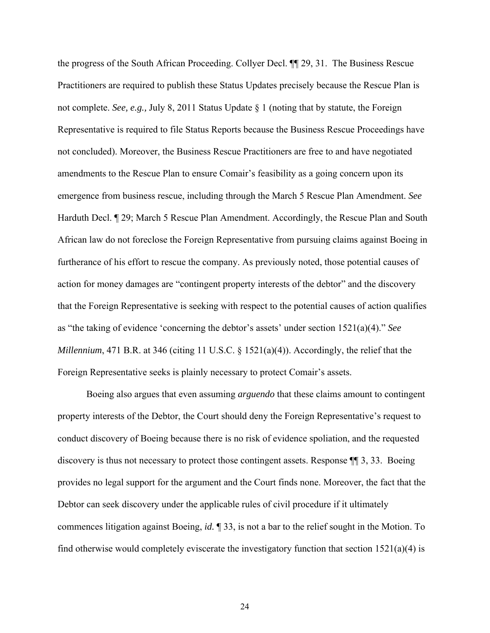the progress of the South African Proceeding. Collyer Decl. ¶¶ 29, 31. The Business Rescue Practitioners are required to publish these Status Updates precisely because the Rescue Plan is not complete. *See, e.g.,* July 8, 2011 Status Update § 1 (noting that by statute, the Foreign Representative is required to file Status Reports because the Business Rescue Proceedings have not concluded). Moreover, the Business Rescue Practitioners are free to and have negotiated amendments to the Rescue Plan to ensure Comair's feasibility as a going concern upon its emergence from business rescue, including through the March 5 Rescue Plan Amendment. *See* Harduth Decl. ¶ 29; March 5 Rescue Plan Amendment. Accordingly, the Rescue Plan and South African law do not foreclose the Foreign Representative from pursuing claims against Boeing in furtherance of his effort to rescue the company. As previously noted, those potential causes of action for money damages are "contingent property interests of the debtor" and the discovery that the Foreign Representative is seeking with respect to the potential causes of action qualifies as "the taking of evidence 'concerning the debtor's assets' under section 1521(a)(4)." *See Millennium*, 471 B.R. at 346 (citing 11 U.S.C. § 1521(a)(4)). Accordingly, the relief that the Foreign Representative seeks is plainly necessary to protect Comair's assets.

Boeing also argues that even assuming *arguendo* that these claims amount to contingent property interests of the Debtor, the Court should deny the Foreign Representative's request to conduct discovery of Boeing because there is no risk of evidence spoliation, and the requested discovery is thus not necessary to protect those contingent assets. Response ¶¶ 3, 33. Boeing provides no legal support for the argument and the Court finds none. Moreover, the fact that the Debtor can seek discovery under the applicable rules of civil procedure if it ultimately commences litigation against Boeing, *id.* ¶ 33, is not a bar to the relief sought in the Motion. To find otherwise would completely eviscerate the investigatory function that section  $1521(a)(4)$  is

24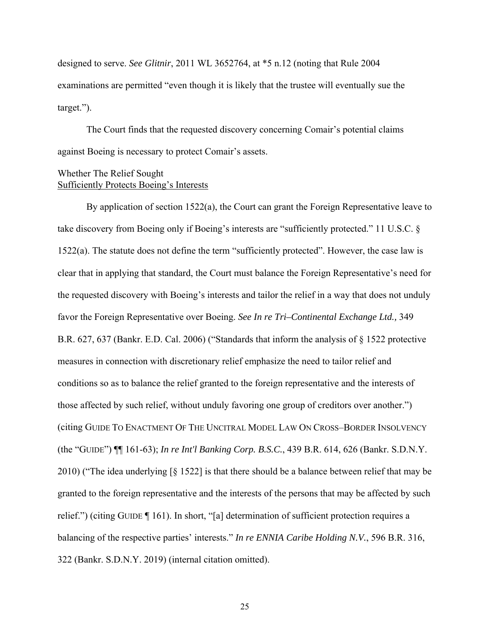designed to serve. *See Glitnir*, 2011 WL 3652764, at \*5 n.12 (noting that Rule 2004 examinations are permitted "even though it is likely that the trustee will eventually sue the target.").

 The Court finds that the requested discovery concerning Comair's potential claims against Boeing is necessary to protect Comair's assets.

### Whether The Relief Sought Sufficiently Protects Boeing's Interests

 By application of section 1522(a), the Court can grant the Foreign Representative leave to take discovery from Boeing only if Boeing's interests are "sufficiently protected." 11 U.S.C. § 1522(a). The statute does not define the term "sufficiently protected". However, the case law is clear that in applying that standard, the Court must balance the Foreign Representative's need for the requested discovery with Boeing's interests and tailor the relief in a way that does not unduly favor the Foreign Representative over Boeing. *See In re Tri–Continental Exchange Ltd.,* 349 B.R. 627, 637 (Bankr. E.D. Cal. 2006) ("Standards that inform the analysis of § 1522 protective measures in connection with discretionary relief emphasize the need to tailor relief and conditions so as to balance the relief granted to the foreign representative and the interests of those affected by such relief, without unduly favoring one group of creditors over another.") (citing GUIDE TO ENACTMENT OF THE UNCITRAL MODEL LAW ON CROSS–BORDER INSOLVENCY (the "GUIDE") ¶¶ 161-63); *In re Int'l Banking Corp. B.S.C.*, 439 B.R. 614, 626 (Bankr. S.D.N.Y. 2010) ("The idea underlying [§ 1522] is that there should be a balance between relief that may be granted to the foreign representative and the interests of the persons that may be affected by such relief.") (citing GUIDE ¶ 161). In short, "[a] determination of sufficient protection requires a balancing of the respective parties' interests." *In re ENNIA Caribe Holding N.V.*, 596 B.R. 316, 322 (Bankr. S.D.N.Y. 2019) (internal citation omitted).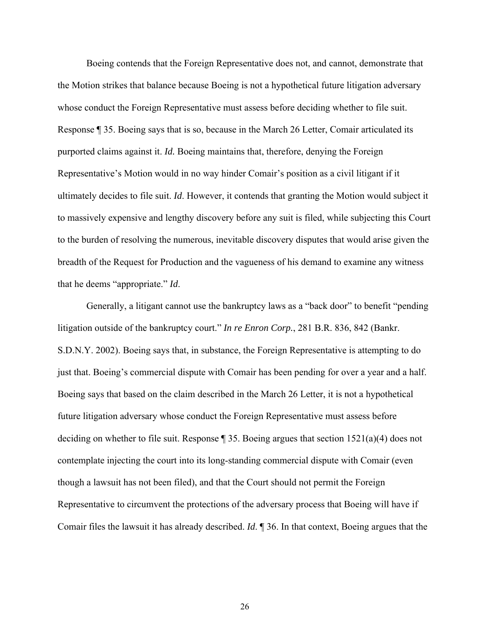Boeing contends that the Foreign Representative does not, and cannot, demonstrate that the Motion strikes that balance because Boeing is not a hypothetical future litigation adversary whose conduct the Foreign Representative must assess before deciding whether to file suit. Response ¶ 35. Boeing says that is so, because in the March 26 Letter, Comair articulated its purported claims against it. *Id.* Boeing maintains that, therefore, denying the Foreign Representative's Motion would in no way hinder Comair's position as a civil litigant if it ultimately decides to file suit. *Id*. However, it contends that granting the Motion would subject it to massively expensive and lengthy discovery before any suit is filed, while subjecting this Court to the burden of resolving the numerous, inevitable discovery disputes that would arise given the breadth of the Request for Production and the vagueness of his demand to examine any witness that he deems "appropriate." *Id*.

Generally, a litigant cannot use the bankruptcy laws as a "back door" to benefit "pending litigation outside of the bankruptcy court." *In re Enron Corp.*, 281 B.R. 836, 842 (Bankr. S.D.N.Y. 2002). Boeing says that, in substance, the Foreign Representative is attempting to do just that. Boeing's commercial dispute with Comair has been pending for over a year and a half. Boeing says that based on the claim described in the March 26 Letter, it is not a hypothetical future litigation adversary whose conduct the Foreign Representative must assess before deciding on whether to file suit. Response  $\frac{935}{125}$ . Boeing argues that section 1521(a)(4) does not contemplate injecting the court into its long-standing commercial dispute with Comair (even though a lawsuit has not been filed), and that the Court should not permit the Foreign Representative to circumvent the protections of the adversary process that Boeing will have if Comair files the lawsuit it has already described. *Id*. ¶ 36. In that context, Boeing argues that the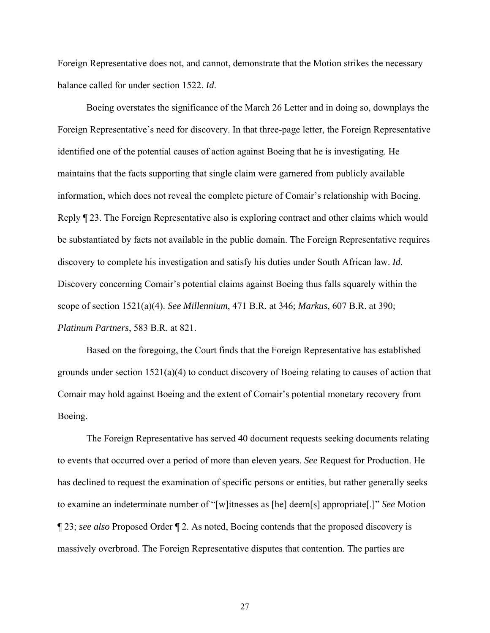Foreign Representative does not, and cannot, demonstrate that the Motion strikes the necessary balance called for under section 1522. *Id*.

Boeing overstates the significance of the March 26 Letter and in doing so, downplays the Foreign Representative's need for discovery. In that three-page letter, the Foreign Representative identified one of the potential causes of action against Boeing that he is investigating. He maintains that the facts supporting that single claim were garnered from publicly available information, which does not reveal the complete picture of Comair's relationship with Boeing. Reply ¶ 23. The Foreign Representative also is exploring contract and other claims which would be substantiated by facts not available in the public domain. The Foreign Representative requires discovery to complete his investigation and satisfy his duties under South African law. *Id*. Discovery concerning Comair's potential claims against Boeing thus falls squarely within the scope of section 1521(a)(4). *See Millennium*, 471 B.R. at 346; *Markus*, 607 B.R. at 390; *Platinum Partners*, 583 B.R. at 821.

Based on the foregoing, the Court finds that the Foreign Representative has established grounds under section  $1521(a)(4)$  to conduct discovery of Boeing relating to causes of action that Comair may hold against Boeing and the extent of Comair's potential monetary recovery from Boeing.

The Foreign Representative has served 40 document requests seeking documents relating to events that occurred over a period of more than eleven years. *See* Request for Production. He has declined to request the examination of specific persons or entities, but rather generally seeks to examine an indeterminate number of "[w]itnesses as [he] deem[s] appropriate[.]" *See* Motion ¶ 23; *see also* Proposed Order ¶ 2. As noted, Boeing contends that the proposed discovery is massively overbroad. The Foreign Representative disputes that contention. The parties are

27